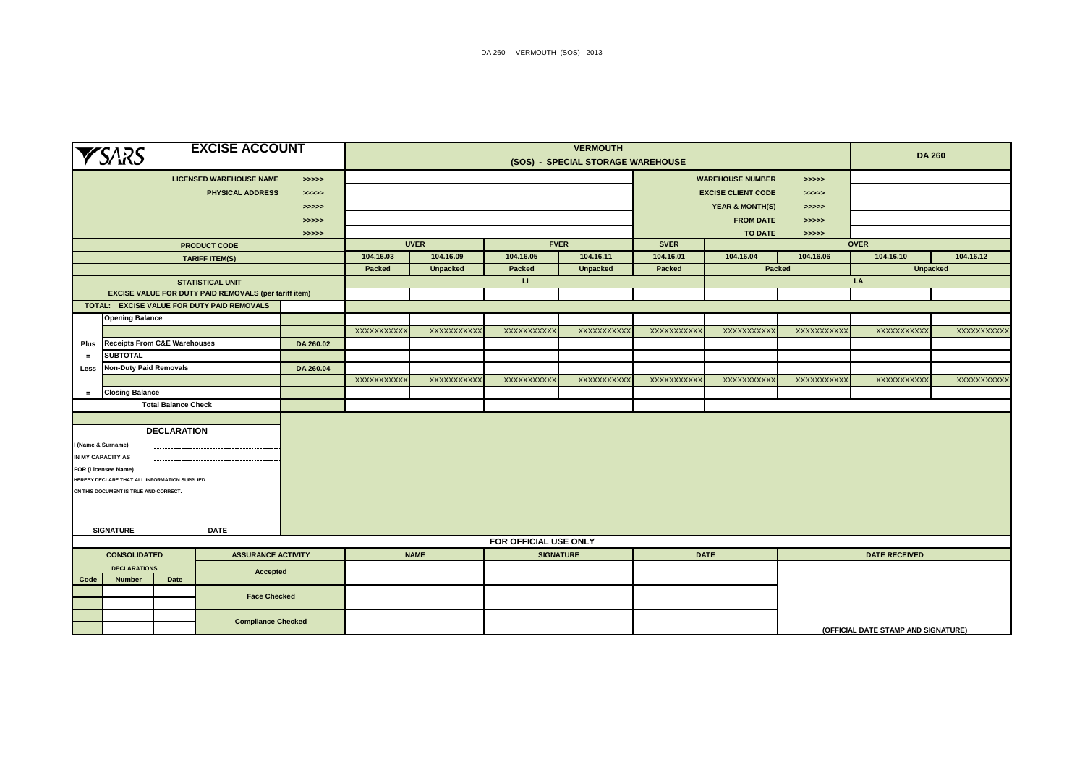| <b>EXCISE ACCOUNT</b><br><b>YSARS</b>                     |                                                                                       |                            |                                                       | <b>VERMOUTH</b> |                                   |                    |              |                    |                                       |                                     |                      | <b>DA 260</b>     |                   |  |
|-----------------------------------------------------------|---------------------------------------------------------------------------------------|----------------------------|-------------------------------------------------------|-----------------|-----------------------------------|--------------------|--------------|--------------------|---------------------------------------|-------------------------------------|----------------------|-------------------|-------------------|--|
|                                                           |                                                                                       |                            |                                                       |                 | (SOS) - SPECIAL STORAGE WAREHOUSE |                    |              |                    |                                       |                                     |                      |                   |                   |  |
| <b>LICENSED WAREHOUSE NAME</b><br>> >> > >                |                                                                                       |                            |                                                       |                 |                                   |                    |              |                    | <b>WAREHOUSE NUMBER</b><br>> >> > >   |                                     |                      |                   |                   |  |
|                                                           |                                                                                       |                            | <b>PHYSICAL ADDRESS</b>                               | > >> > >        |                                   |                    |              |                    | <b>EXCISE CLIENT CODE</b><br>> >> > > |                                     |                      |                   |                   |  |
| > >> > >                                                  |                                                                                       |                            |                                                       |                 |                                   |                    |              |                    | <b>YEAR &amp; MONTH(S)</b><br>>>>>>   |                                     |                      |                   |                   |  |
|                                                           |                                                                                       |                            |                                                       | >>>>>           |                                   |                    |              |                    | <b>FROM DATE</b><br>> >> > >          |                                     |                      |                   |                   |  |
|                                                           |                                                                                       |                            |                                                       | >>>>>           |                                   |                    |              |                    | <b>TO DATE</b><br>> >> > >            |                                     |                      |                   |                   |  |
|                                                           |                                                                                       |                            | <b>PRODUCT CODE</b>                                   |                 | <b>UVER</b><br><b>FVER</b>        |                    |              |                    | <b>SVER</b>                           |                                     |                      | <b>OVER</b>       |                   |  |
|                                                           |                                                                                       |                            | <b>TARIFF ITEM(S)</b>                                 |                 | 104.16.03                         | 104.16.09          | 104.16.05    | 104.16.11          | 104.16.01                             | 104.16.04                           | 104.16.06            | 104.16.10         | 104.16.12         |  |
|                                                           |                                                                                       |                            |                                                       |                 | Packed                            | <b>Unpacked</b>    | Packed       | <b>Unpacked</b>    | Packed                                |                                     | Packed               | <b>Unpacked</b>   |                   |  |
|                                                           |                                                                                       |                            | <b>STATISTICAL UNIT</b>                               |                 |                                   |                    | $\mathbf{U}$ |                    |                                       |                                     |                      | LA                |                   |  |
|                                                           |                                                                                       |                            | EXCISE VALUE FOR DUTY PAID REMOVALS (per tariff item) |                 |                                   |                    |              |                    |                                       |                                     |                      |                   |                   |  |
|                                                           |                                                                                       |                            | TOTAL: EXCISE VALUE FOR DUTY PAID REMOVALS            |                 |                                   |                    |              |                    |                                       |                                     |                      |                   |                   |  |
|                                                           | <b>Opening Balance</b>                                                                |                            |                                                       |                 |                                   |                    |              |                    |                                       |                                     |                      |                   |                   |  |
|                                                           |                                                                                       |                            |                                                       |                 | XXXXXXXXXX                        | <b>XXXXXXXXXX</b>  | XXXXXXXXXX   | <b>XXXXXXXXXX</b>  | <b>XXXXXXXXXX</b>                     | <b>XXXXXXXXXX</b>                   | XXXXXXXXXX           | <b>XXXXXXXXXX</b> | <b>XXXXXXXXXX</b> |  |
| Plus                                                      | <b>Receipts From C&amp;E Warehouses</b>                                               |                            |                                                       | DA 260.02       |                                   |                    |              |                    |                                       |                                     |                      |                   |                   |  |
| $\equiv$                                                  | <b>SUBTOTAL</b>                                                                       |                            |                                                       |                 |                                   |                    |              |                    |                                       |                                     |                      |                   |                   |  |
| Less                                                      | <b>Non-Duty Paid Removals</b>                                                         |                            |                                                       | DA 260.04       |                                   |                    |              |                    |                                       |                                     |                      |                   |                   |  |
|                                                           |                                                                                       |                            |                                                       |                 | XXXXXXXXXX                        | <b>XXXXXXXXXXX</b> | XXXXXXXXXX   | <b>XXXXXXXXXXX</b> | XXXXXXXXXX                            | XXXXXXXXXX                          | XXXXXXXXXXX          | XXXXXXXXXX        | <b>XXXXXXXXXX</b> |  |
| $\equiv$                                                  | <b>Closing Balance</b>                                                                |                            |                                                       |                 |                                   |                    |              |                    |                                       |                                     |                      |                   |                   |  |
|                                                           |                                                                                       | <b>Total Balance Check</b> |                                                       |                 |                                   |                    |              |                    |                                       |                                     |                      |                   |                   |  |
|                                                           |                                                                                       |                            |                                                       |                 |                                   |                    |              |                    |                                       |                                     |                      |                   |                   |  |
|                                                           |                                                                                       | <b>DECLARATION</b>         |                                                       |                 |                                   |                    |              |                    |                                       |                                     |                      |                   |                   |  |
|                                                           | I (Name & Surname)                                                                    |                            |                                                       |                 |                                   |                    |              |                    |                                       |                                     |                      |                   |                   |  |
|                                                           | IN MY CAPACITY AS                                                                     |                            |                                                       |                 |                                   |                    |              |                    |                                       |                                     |                      |                   |                   |  |
|                                                           | FOR (Licensee Name)                                                                   |                            |                                                       |                 |                                   |                    |              |                    |                                       |                                     |                      |                   |                   |  |
|                                                           | HEREBY DECLARE THAT ALL INFORMATION SUPPLIED<br>ON THIS DOCUMENT IS TRUE AND CORRECT. |                            |                                                       |                 |                                   |                    |              |                    |                                       |                                     |                      |                   |                   |  |
|                                                           |                                                                                       |                            |                                                       |                 |                                   |                    |              |                    |                                       |                                     |                      |                   |                   |  |
|                                                           |                                                                                       |                            |                                                       |                 |                                   |                    |              |                    |                                       |                                     |                      |                   |                   |  |
|                                                           |                                                                                       |                            |                                                       |                 |                                   |                    |              |                    |                                       |                                     |                      |                   |                   |  |
|                                                           | <b>SIGNATURE</b>                                                                      |                            | <b>DATE</b>                                           |                 |                                   |                    |              |                    |                                       |                                     |                      |                   |                   |  |
| <b>ASSURANCE ACTIVITY</b>                                 |                                                                                       |                            |                                                       |                 | FOR OFFICIAL USE ONLY             |                    |              |                    |                                       |                                     | <b>DATE RECEIVED</b> |                   |                   |  |
| <b>CONSOLIDATED</b>                                       |                                                                                       |                            |                                                       | <b>NAME</b>     |                                   | <b>SIGNATURE</b>   |              | <b>DATE</b>        |                                       |                                     |                      |                   |                   |  |
| <b>DECLARATIONS</b><br>Accepted<br>Date<br>Code<br>Number |                                                                                       |                            |                                                       |                 |                                   |                    |              |                    |                                       |                                     |                      |                   |                   |  |
|                                                           |                                                                                       |                            |                                                       |                 |                                   |                    |              |                    |                                       |                                     |                      |                   |                   |  |
|                                                           | <b>Face Checked</b>                                                                   |                            |                                                       |                 |                                   |                    |              |                    |                                       |                                     |                      |                   |                   |  |
|                                                           | <b>Compliance Checked</b>                                                             |                            |                                                       |                 |                                   |                    |              |                    |                                       |                                     |                      |                   |                   |  |
|                                                           |                                                                                       |                            |                                                       |                 |                                   |                    |              |                    |                                       | (OFFICIAL DATE STAMP AND SIGNATURE) |                      |                   |                   |  |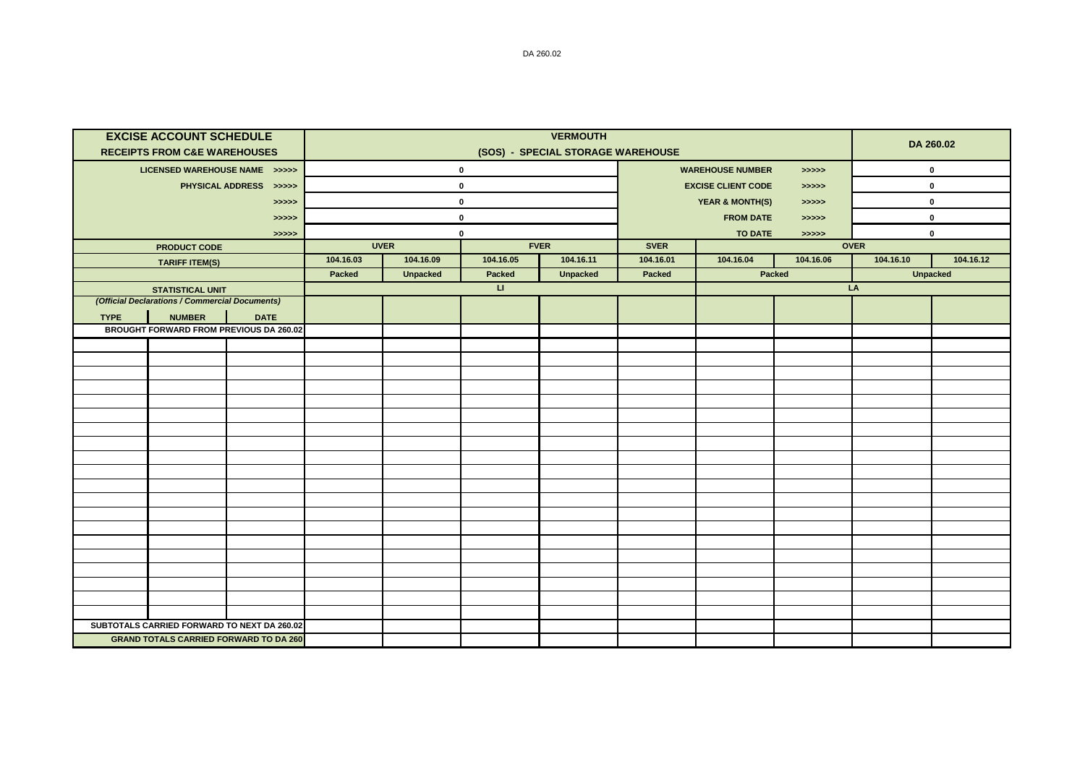|             | <b>EXCISE ACCOUNT SCHEDULE</b><br><b>RECEIPTS FROM C&amp;E WAREHOUSES</b> |                                                        |             | DA 260.02       |              |                 |                                     |                                     |           |             |                 |  |
|-------------|---------------------------------------------------------------------------|--------------------------------------------------------|-------------|-----------------|--------------|-----------------|-------------------------------------|-------------------------------------|-----------|-------------|-----------------|--|
|             | LICENSED WAREHOUSE NAME >>>>>                                             |                                                        |             |                 | $\mathbf 0$  |                 | <b>WAREHOUSE NUMBER</b><br>> >> > > |                                     |           | $\mathbf 0$ |                 |  |
|             |                                                                           | PHYSICAL ADDRESS >>>>>                                 |             |                 | $\mathbf 0$  |                 | <b>EXCISE CLIENT CODE</b><br>>>>>>  |                                     |           | 0           |                 |  |
|             |                                                                           | >>>>>                                                  | $\mathbf 0$ |                 |              |                 |                                     | <b>YEAR &amp; MONTH(S)</b><br>>>>>> |           |             | 0               |  |
|             |                                                                           | >>>>>                                                  | $\mathbf 0$ |                 |              |                 |                                     | <b>FROM DATE</b><br>> >> > >        |           |             | 0               |  |
|             |                                                                           | >>>>>                                                  |             |                 | $\mathbf 0$  |                 | <b>TO DATE</b><br>>>>>>             |                                     |           | 0           |                 |  |
|             | <b>PRODUCT CODE</b>                                                       |                                                        | <b>UVER</b> |                 | <b>FVER</b>  |                 |                                     | <b>OVER</b>                         |           |             |                 |  |
|             | <b>TARIFF ITEM(S)</b>                                                     |                                                        | 104.16.03   | 104.16.09       | 104.16.05    | 104.16.11       | 104.16.01                           | 104.16.04                           | 104.16.06 | 104.16.10   | 104.16.12       |  |
|             |                                                                           |                                                        | Packed      | <b>Unpacked</b> | Packed       | <b>Unpacked</b> | <b>Packed</b>                       |                                     | Packed    |             | <b>Unpacked</b> |  |
|             | <b>STATISTICAL UNIT</b>                                                   |                                                        |             |                 | $\mathbf{H}$ |                 |                                     |                                     | LA        |             |                 |  |
|             | (Official Declarations / Commercial Documents)                            |                                                        |             |                 |              |                 |                                     |                                     |           |             |                 |  |
| <b>TYPE</b> | <b>NUMBER</b>                                                             | <b>DATE</b><br>BROUGHT FORWARD FROM PREVIOUS DA 260.02 |             |                 |              |                 |                                     |                                     |           |             |                 |  |
|             |                                                                           |                                                        |             |                 |              |                 |                                     |                                     |           |             |                 |  |
|             |                                                                           |                                                        |             |                 |              |                 |                                     |                                     |           |             |                 |  |
|             |                                                                           |                                                        |             |                 |              |                 |                                     |                                     |           |             |                 |  |
|             |                                                                           |                                                        |             |                 |              |                 |                                     |                                     |           |             |                 |  |
|             |                                                                           |                                                        |             |                 |              |                 |                                     |                                     |           |             |                 |  |
|             |                                                                           |                                                        |             |                 |              |                 |                                     |                                     |           |             |                 |  |
|             |                                                                           |                                                        |             |                 |              |                 |                                     |                                     |           |             |                 |  |
|             |                                                                           |                                                        |             |                 |              |                 |                                     |                                     |           |             |                 |  |
|             |                                                                           |                                                        |             |                 |              |                 |                                     |                                     |           |             |                 |  |
|             |                                                                           |                                                        |             |                 |              |                 |                                     |                                     |           |             |                 |  |
|             |                                                                           |                                                        |             |                 |              |                 |                                     |                                     |           |             |                 |  |
|             |                                                                           |                                                        |             |                 |              |                 |                                     |                                     |           |             |                 |  |
|             |                                                                           |                                                        |             |                 |              |                 |                                     |                                     |           |             |                 |  |
|             |                                                                           |                                                        |             |                 |              |                 |                                     |                                     |           |             |                 |  |
|             |                                                                           |                                                        |             |                 |              |                 |                                     |                                     |           |             |                 |  |
|             |                                                                           |                                                        |             |                 |              |                 |                                     |                                     |           |             |                 |  |
|             |                                                                           |                                                        |             |                 |              |                 |                                     |                                     |           |             |                 |  |
|             |                                                                           |                                                        |             |                 |              |                 |                                     |                                     |           |             |                 |  |
|             |                                                                           |                                                        |             |                 |              |                 |                                     |                                     |           |             |                 |  |
|             |                                                                           | SUBTOTALS CARRIED FORWARD TO NEXT DA 260.02            |             |                 |              |                 |                                     |                                     |           |             |                 |  |
|             |                                                                           | <b>GRAND TOTALS CARRIED FORWARD TO DA 260</b>          |             |                 |              |                 |                                     |                                     |           |             |                 |  |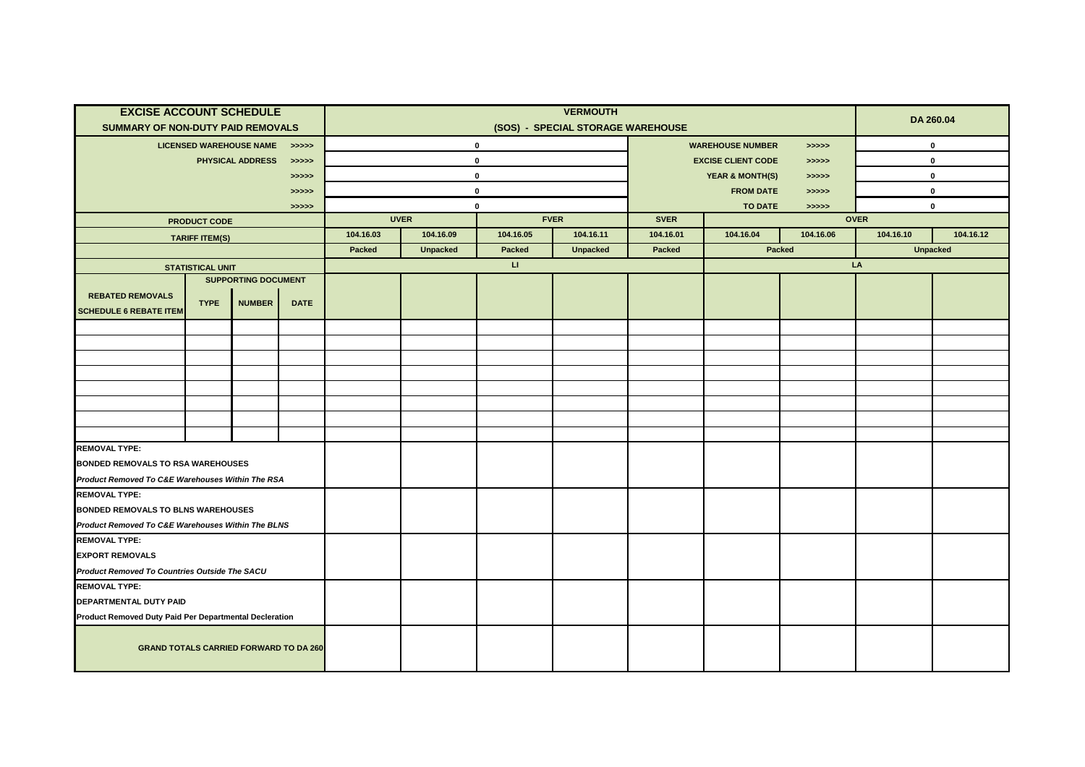| <b>EXCISE ACCOUNT SCHEDULE</b>                                           |                         |                                |             | <b>VERMOUTH</b>                   |                 |              |                 |                                                                              |                              |             |                 | DA 260.04 |  |
|--------------------------------------------------------------------------|-------------------------|--------------------------------|-------------|-----------------------------------|-----------------|--------------|-----------------|------------------------------------------------------------------------------|------------------------------|-------------|-----------------|-----------|--|
| <b>SUMMARY OF NON-DUTY PAID REMOVALS</b>                                 |                         |                                |             | (SOS) - SPECIAL STORAGE WAREHOUSE |                 |              |                 |                                                                              |                              |             |                 |           |  |
|                                                                          |                         | <b>LICENSED WAREHOUSE NAME</b> | >>>>>       |                                   |                 | $\mathbf 0$  |                 | <b>WAREHOUSE NUMBER</b><br>$\rightarrow \rightarrow \rightarrow \rightarrow$ |                              |             | $\mathbf 0$     |           |  |
|                                                                          |                         | PHYSICAL ADDRESS               | >>>>>       |                                   |                 | $\pmb{0}$    |                 | <b>EXCISE CLIENT CODE</b><br>> >> > >                                        |                              |             | $\pmb{0}$       |           |  |
|                                                                          |                         |                                | >>>>>       |                                   |                 | $\pmb{0}$    |                 | <b>YEAR &amp; MONTH(S)</b><br>> >> > >                                       |                              |             | $\pmb{0}$       |           |  |
|                                                                          |                         |                                | >>>>>       | $\mathbf{0}$                      |                 |              |                 |                                                                              | <b>FROM DATE</b><br>> >> > > |             |                 | $\pmb{0}$ |  |
|                                                                          |                         |                                | >>>>>       | $\mathbf 0$                       |                 |              |                 | <b>TO DATE</b><br>>>>>>                                                      |                              |             | $\pmb{0}$       |           |  |
|                                                                          | <b>PRODUCT CODE</b>     |                                |             | <b>UVER</b><br><b>FVER</b>        |                 |              | <b>SVER</b>     |                                                                              |                              | <b>OVER</b> |                 |           |  |
|                                                                          | <b>TARIFF ITEM(S)</b>   |                                |             | 104.16.03                         | 104.16.09       | 104.16.05    | 104.16.11       | 104.16.01                                                                    | 104.16.04                    | 104.16.06   | 104.16.10       | 104.16.12 |  |
|                                                                          |                         |                                |             | Packed                            | <b>Unpacked</b> | Packed       | <b>Unpacked</b> | Packed                                                                       |                              | Packed      | <b>Unpacked</b> |           |  |
|                                                                          | <b>STATISTICAL UNIT</b> |                                |             |                                   |                 | $\mathbf{H}$ |                 |                                                                              |                              |             | LA              |           |  |
| <b>REBATED REMOVALS</b>                                                  |                         | <b>SUPPORTING DOCUMENT</b>     |             |                                   |                 |              |                 |                                                                              |                              |             |                 |           |  |
| <b>SCHEDULE 6 REBATE ITEM</b>                                            | <b>TYPE</b>             | <b>NUMBER</b>                  | <b>DATE</b> |                                   |                 |              |                 |                                                                              |                              |             |                 |           |  |
|                                                                          |                         |                                |             |                                   |                 |              |                 |                                                                              |                              |             |                 |           |  |
|                                                                          |                         |                                |             |                                   |                 |              |                 |                                                                              |                              |             |                 |           |  |
|                                                                          |                         |                                |             |                                   |                 |              |                 |                                                                              |                              |             |                 |           |  |
|                                                                          |                         |                                |             |                                   |                 |              |                 |                                                                              |                              |             |                 |           |  |
|                                                                          |                         |                                |             |                                   |                 |              |                 |                                                                              |                              |             |                 |           |  |
|                                                                          |                         |                                |             |                                   |                 |              |                 |                                                                              |                              |             |                 |           |  |
|                                                                          |                         |                                |             |                                   |                 |              |                 |                                                                              |                              |             |                 |           |  |
|                                                                          |                         |                                |             |                                   |                 |              |                 |                                                                              |                              |             |                 |           |  |
| <b>REMOVAL TYPE:</b>                                                     |                         |                                |             |                                   |                 |              |                 |                                                                              |                              |             |                 |           |  |
| <b>BONDED REMOVALS TO RSA WAREHOUSES</b>                                 |                         |                                |             |                                   |                 |              |                 |                                                                              |                              |             |                 |           |  |
| Product Removed To C&E Warehouses Within The RSA<br><b>REMOVAL TYPE:</b> |                         |                                |             |                                   |                 |              |                 |                                                                              |                              |             |                 |           |  |
| <b>BONDED REMOVALS TO BLNS WAREHOUSES</b>                                |                         |                                |             |                                   |                 |              |                 |                                                                              |                              |             |                 |           |  |
| Product Removed To C&E Warehouses Within The BLNS                        |                         |                                |             |                                   |                 |              |                 |                                                                              |                              |             |                 |           |  |
| <b>REMOVAL TYPE:</b>                                                     |                         |                                |             |                                   |                 |              |                 |                                                                              |                              |             |                 |           |  |
| <b>EXPORT REMOVALS</b>                                                   |                         |                                |             |                                   |                 |              |                 |                                                                              |                              |             |                 |           |  |
| Product Removed To Countries Outside The SACU                            |                         |                                |             |                                   |                 |              |                 |                                                                              |                              |             |                 |           |  |
| <b>REMOVAL TYPE:</b>                                                     |                         |                                |             |                                   |                 |              |                 |                                                                              |                              |             |                 |           |  |
| DEPARTMENTAL DUTY PAID                                                   |                         |                                |             |                                   |                 |              |                 |                                                                              |                              |             |                 |           |  |
| Product Removed Duty Paid Per Departmental Decleration                   |                         |                                |             |                                   |                 |              |                 |                                                                              |                              |             |                 |           |  |
| <b>GRAND TOTALS CARRIED FORWARD TO DA 260</b>                            |                         |                                |             |                                   |                 |              |                 |                                                                              |                              |             |                 |           |  |